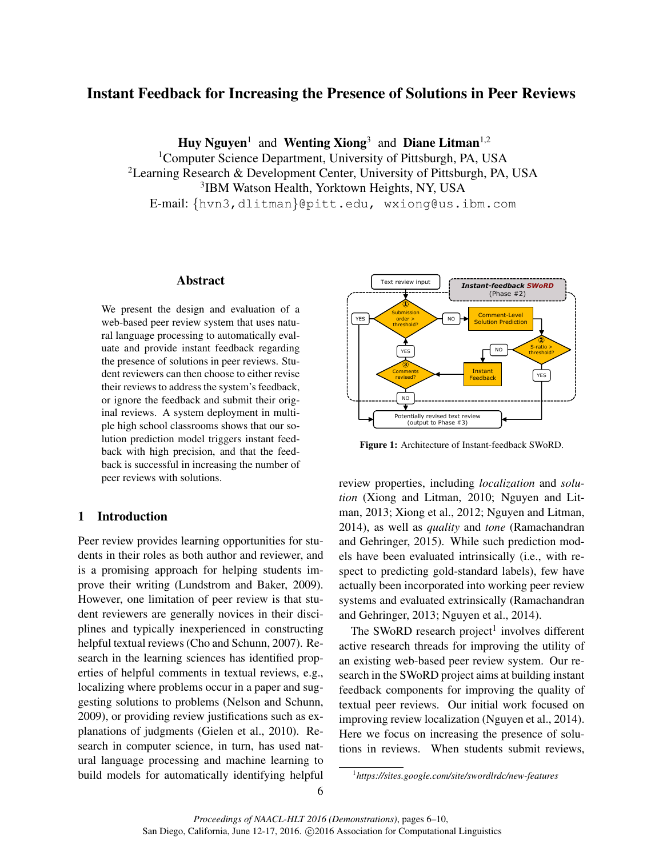# Instant Feedback for Increasing the Presence of Solutions in Peer Reviews

Huy Nguyen<sup>1</sup> and Wenting Xiong<sup>3</sup> and Diane Litman<sup>1,2</sup>

<sup>1</sup>Computer Science Department, University of Pittsburgh, PA, USA <sup>2</sup>Learning Research & Development Center, University of Pittsburgh, PA, USA 3 IBM Watson Health, Yorktown Heights, NY, USA E-mail: {hvn3,dlitman}@pitt.edu, wxiong@us.ibm.com

# Abstract

We present the design and evaluation of a web-based peer review system that uses natural language processing to automatically evaluate and provide instant feedback regarding the presence of solutions in peer reviews. Student reviewers can then choose to either revise their reviews to address the system's feedback, or ignore the feedback and submit their original reviews. A system deployment in multiple high school classrooms shows that our solution prediction model triggers instant feedback with high precision, and that the feedback is successful in increasing the number of peer reviews with solutions.

# 1 Introduction

Peer review provides learning opportunities for students in their roles as both author and reviewer, and is a promising approach for helping students improve their writing (Lundstrom and Baker, 2009). However, one limitation of peer review is that student reviewers are generally novices in their disciplines and typically inexperienced in constructing helpful textual reviews (Cho and Schunn, 2007). Research in the learning sciences has identified properties of helpful comments in textual reviews, e.g., localizing where problems occur in a paper and suggesting solutions to problems (Nelson and Schunn, 2009), or providing review justifications such as explanations of judgments (Gielen et al., 2010). Research in computer science, in turn, has used natural language processing and machine learning to build models for automatically identifying helpful



Figure 1: Architecture of Instant-feedback SWoRD.

review properties, including *localization* and *solution* (Xiong and Litman, 2010; Nguyen and Litman, 2013; Xiong et al., 2012; Nguyen and Litman, 2014), as well as *quality* and *tone* (Ramachandran and Gehringer, 2015). While such prediction models have been evaluated intrinsically (i.e., with respect to predicting gold-standard labels), few have actually been incorporated into working peer review systems and evaluated extrinsically (Ramachandran and Gehringer, 2013; Nguyen et al., 2014).

The SWoRD research project<sup>1</sup> involves different active research threads for improving the utility of an existing web-based peer review system. Our research in the SWoRD project aims at building instant feedback components for improving the quality of textual peer reviews. Our initial work focused on improving review localization (Nguyen et al., 2014). Here we focus on increasing the presence of solutions in reviews. When students submit reviews,

<sup>1</sup> *https://sites.google.com/site/swordlrdc/new-features*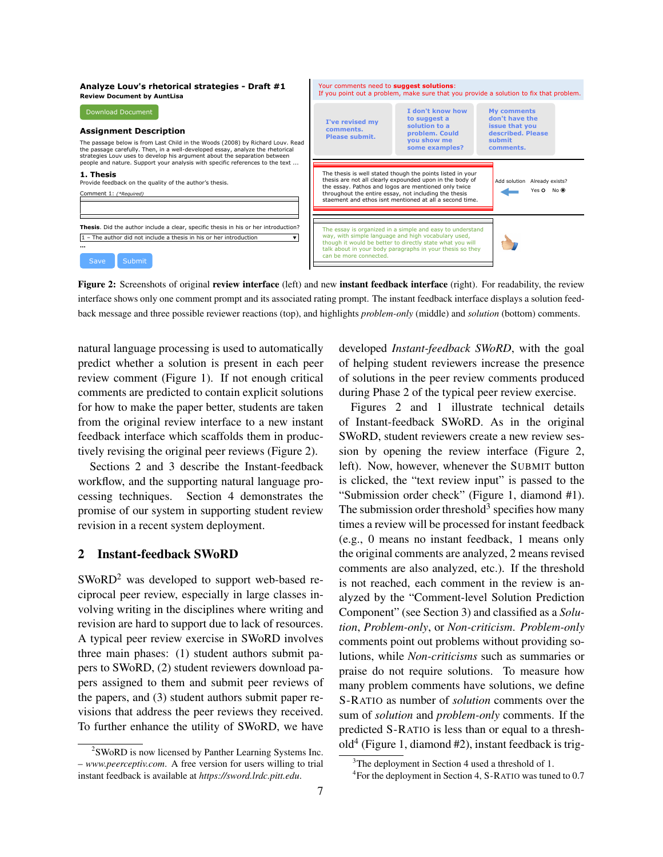**Analyze Louv's rhetorical strategies - Draft #1** Your comments need to **suggest solutions**: If you point out a problem, make sure that you provide a solution to fix that problem. **Review Document by AuntLisa** Download Document **I don't know how My comments to suggest a solution to a don't have the I've revised my issue that you Assignment Description comments. problem. Could described. Please Please submit. you show me submit**  The passage below is from Last Child in the Woods (2008) by Richard Louv. Read **some examples? comments.** the passage carefully. Then, in a well-developed essay, analyze the rhetorical strategies Louv uses to develop his argument about the separation between people and nature. Support your analysis with specific references to the text ... The thesis is well stated though the points listed in your thesis are not all clearly expounded upon in the body of **1. Thesis** Provide feedback on the quality of the author's thesis. Add solution Already exists? the essay. Pathos and logos are mentioned only twice  $Y \nightharpoonup \Omega$  No.  $\bigcirc$ throughout the entire essay, not including the thesis Comment 1: (\*Req) staement and ethos isnt mentioned at all a second time. **Thesis**. Did the author include a clear, specific thesis in his or her introduction? The essay is organized in a simple and easy to understand way, with simple language and high vocabulary used. 1 – The author did not include a thesis in his or her introduction  $\bullet$ way, while simple angles and inglifed between years though it would be better to directly state what you will **…** talk about in your body paragraphs in your thesis so they can be more connected. Save Submit

Figure 2: Screenshots of original review interface (left) and new instant feedback interface (right). For readability, the review interface shows only one comment prompt and its associated rating prompt. The instant feedback interface displays a solution feedback message and three possible reviewer reactions (top), and highlights *problem-only* (middle) and *solution* (bottom) comments.

natural language processing is used to automatically predict whether a solution is present in each peer review comment (Figure 1). If not enough critical comments are predicted to contain explicit solutions for how to make the paper better, students are taken from the original review interface to a new instant feedback interface which scaffolds them in productively revising the original peer reviews (Figure 2).

Sections 2 and 3 describe the Instant-feedback workflow, and the supporting natural language processing techniques. Section 4 demonstrates the promise of our system in supporting student review revision in a recent system deployment.

## 2 Instant-feedback SWoRD

 $SWoRD<sup>2</sup>$  was developed to support web-based reciprocal peer review, especially in large classes involving writing in the disciplines where writing and revision are hard to support due to lack of resources. A typical peer review exercise in SWoRD involves three main phases: (1) student authors submit papers to SWoRD, (2) student reviewers download papers assigned to them and submit peer reviews of the papers, and (3) student authors submit paper revisions that address the peer reviews they received. To further enhance the utility of SWoRD, we have

<sup>2</sup>SWoRD is now licensed by Panther Learning Systems Inc. – *www.peerceptiv.com*. A free version for users willing to trial instant feedback is available at *https://sword.lrdc.pitt.edu*.

developed *Instant-feedback SWoRD*, with the goal of helping student reviewers increase the presence of solutions in the peer review comments produced during Phase 2 of the typical peer review exercise.

Figures 2 and 1 illustrate technical details of Instant-feedback SWoRD. As in the original SWoRD, student reviewers create a new review session by opening the review interface (Figure 2, left). Now, however, whenever the SUBMIT button is clicked, the "text review input" is passed to the "Submission order check" (Figure 1, diamond #1). The submission order threshold<sup>3</sup> specifies how many times a review will be processed for instant feedback (e.g., 0 means no instant feedback, 1 means only the original comments are analyzed, 2 means revised comments are also analyzed, etc.). If the threshold is not reached, each comment in the review is analyzed by the "Comment-level Solution Prediction Component" (see Section 3) and classified as a *Solution*, *Problem-only*, or *Non-criticism*. *Problem-only* comments point out problems without providing solutions, while *Non-criticisms* such as summaries or praise do not require solutions. To measure how many problem comments have solutions, we define S-RATIO as number of *solution* comments over the sum of *solution* and *problem-only* comments. If the predicted S-RATIO is less than or equal to a threshold<sup>4</sup> (Figure 1, diamond #2), instant feedback is trig-

<sup>&</sup>lt;sup>3</sup>The deployment in Section 4 used a threshold of 1.

<sup>&</sup>lt;sup>4</sup> For the deployment in Section 4, S-RATIO was tuned to 0.7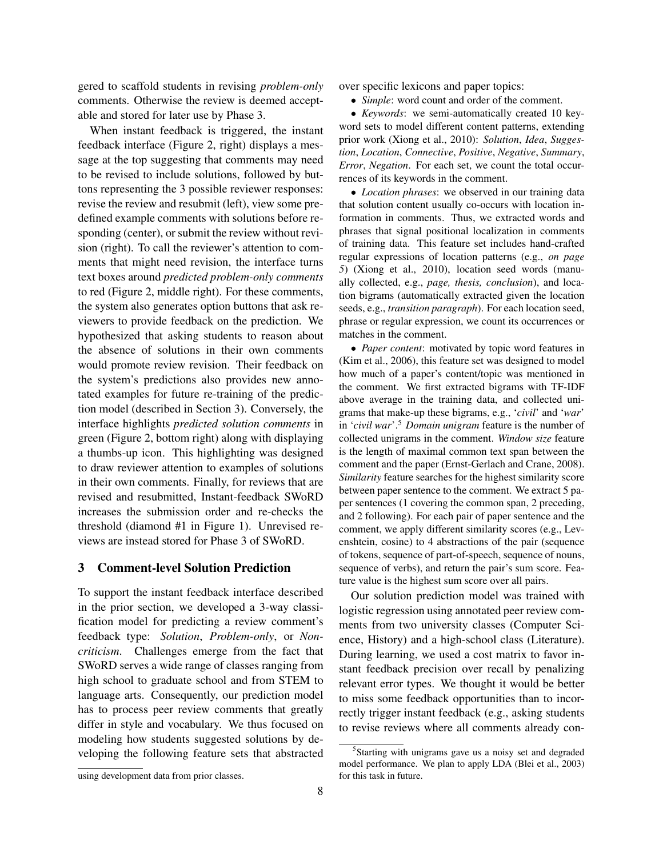gered to scaffold students in revising *problem-only* comments. Otherwise the review is deemed acceptable and stored for later use by Phase 3.

When instant feedback is triggered, the instant feedback interface (Figure 2, right) displays a message at the top suggesting that comments may need to be revised to include solutions, followed by buttons representing the 3 possible reviewer responses: revise the review and resubmit (left), view some predefined example comments with solutions before responding (center), or submit the review without revision (right). To call the reviewer's attention to comments that might need revision, the interface turns text boxes around *predicted problem-only comments* to red (Figure 2, middle right). For these comments, the system also generates option buttons that ask reviewers to provide feedback on the prediction. We hypothesized that asking students to reason about the absence of solutions in their own comments would promote review revision. Their feedback on the system's predictions also provides new annotated examples for future re-training of the prediction model (described in Section 3). Conversely, the interface highlights *predicted solution comments* in green (Figure 2, bottom right) along with displaying a thumbs-up icon. This highlighting was designed to draw reviewer attention to examples of solutions in their own comments. Finally, for reviews that are revised and resubmitted, Instant-feedback SWoRD increases the submission order and re-checks the threshold (diamond #1 in Figure 1). Unrevised reviews are instead stored for Phase 3 of SWoRD.

#### 3 Comment-level Solution Prediction

To support the instant feedback interface described in the prior section, we developed a 3-way classification model for predicting a review comment's feedback type: *Solution*, *Problem-only*, or *Noncriticism*. Challenges emerge from the fact that SWoRD serves a wide range of classes ranging from high school to graduate school and from STEM to language arts. Consequently, our prediction model has to process peer review comments that greatly differ in style and vocabulary. We thus focused on modeling how students suggested solutions by developing the following feature sets that abstracted over specific lexicons and paper topics:

• *Simple*: word count and order of the comment.

• *Keywords*: we semi-automatically created 10 keyword sets to model different content patterns, extending prior work (Xiong et al., 2010): *Solution*, *Idea*, *Suggestion*, *Location*, *Connective*, *Positive*, *Negative*, *Summary*, *Error*, *Negation*. For each set, we count the total occurrences of its keywords in the comment.

• *Location phrases*: we observed in our training data that solution content usually co-occurs with location information in comments. Thus, we extracted words and phrases that signal positional localization in comments of training data. This feature set includes hand-crafted regular expressions of location patterns (e.g., *on page 5*) (Xiong et al., 2010), location seed words (manually collected, e.g., *page, thesis, conclusion*), and location bigrams (automatically extracted given the location seeds, e.g., *transition paragraph*). For each location seed, phrase or regular expression, we count its occurrences or matches in the comment.

• *Paper content*: motivated by topic word features in (Kim et al., 2006), this feature set was designed to model how much of a paper's content/topic was mentioned in the comment. We first extracted bigrams with TF-IDF above average in the training data, and collected unigrams that make-up these bigrams, e.g., '*civil*' and '*war*' in '*civil war*'.<sup>5</sup> *Domain unigram* feature is the number of collected unigrams in the comment. *Window size* feature is the length of maximal common text span between the comment and the paper (Ernst-Gerlach and Crane, 2008). *Similarity* feature searches for the highest similarity score between paper sentence to the comment. We extract 5 paper sentences (1 covering the common span, 2 preceding, and 2 following). For each pair of paper sentence and the comment, we apply different similarity scores (e.g., Levenshtein, cosine) to 4 abstractions of the pair (sequence of tokens, sequence of part-of-speech, sequence of nouns, sequence of verbs), and return the pair's sum score. Feature value is the highest sum score over all pairs.

Our solution prediction model was trained with logistic regression using annotated peer review comments from two university classes (Computer Science, History) and a high-school class (Literature). During learning, we used a cost matrix to favor instant feedback precision over recall by penalizing relevant error types. We thought it would be better to miss some feedback opportunities than to incorrectly trigger instant feedback (e.g., asking students to revise reviews where all comments already con-

<sup>&</sup>lt;sup>5</sup>Starting with unigrams gave us a noisy set and degraded model performance. We plan to apply LDA (Blei et al., 2003) for this task in future.

using development data from prior classes.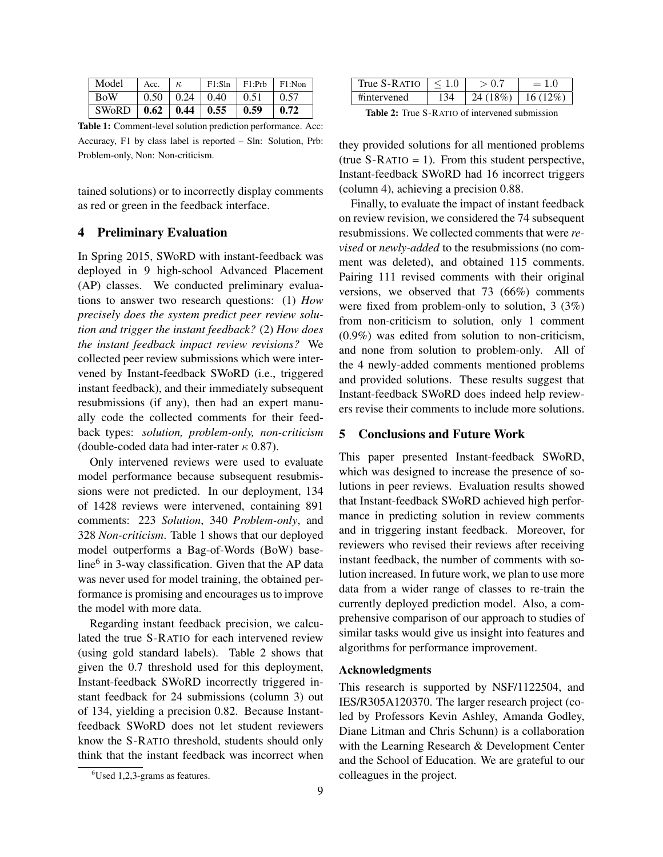| Model                                     | Acc. | $+$ K |                                   | $F1:Sh$   $F1:Prb$   $F1:Non$ |                    |
|-------------------------------------------|------|-------|-----------------------------------|-------------------------------|--------------------|
| <b>BoW</b>                                |      |       | $0.50 \pm 0.24 \pm 0.40 \pm 0.51$ |                               | $\pm 0.57$         |
| SWoRD   $0.62$   $0.44$   $0.55$   $0.59$ |      |       |                                   |                               | $\vert 0.72 \vert$ |

Table 1: Comment-level solution prediction performance. Acc: Accuracy, F1 by class label is reported – Sln: Solution, Prb: Problem-only, Non: Non-criticism.

tained solutions) or to incorrectly display comments as red or green in the feedback interface.

# 4 Preliminary Evaluation

In Spring 2015, SWoRD with instant-feedback was deployed in 9 high-school Advanced Placement (AP) classes. We conducted preliminary evaluations to answer two research questions: (1) *How precisely does the system predict peer review solution and trigger the instant feedback?* (2) *How does the instant feedback impact review revisions?* We collected peer review submissions which were intervened by Instant-feedback SWoRD (i.e., triggered instant feedback), and their immediately subsequent resubmissions (if any), then had an expert manually code the collected comments for their feedback types: *solution, problem-only, non-criticism* (double-coded data had inter-rater  $\kappa$  0.87).

Only intervened reviews were used to evaluate model performance because subsequent resubmissions were not predicted. In our deployment, 134 of 1428 reviews were intervened, containing 891 comments: 223 *Solution*, 340 *Problem-only*, and 328 *Non-criticism*. Table 1 shows that our deployed model outperforms a Bag-of-Words (BoW) baseline<sup>6</sup> in 3-way classification. Given that the AP data was never used for model training, the obtained performance is promising and encourages us to improve the model with more data.

Regarding instant feedback precision, we calculated the true S-RATIO for each intervened review (using gold standard labels). Table 2 shows that given the 0.7 threshold used for this deployment, Instant-feedback SWoRD incorrectly triggered instant feedback for 24 submissions (column 3) out of 134, yielding a precision 0.82. Because Instantfeedback SWoRD does not let student reviewers know the S-RATIO threshold, students should only think that the instant feedback was incorrect when

| True S-RATIO | $\leq 1.0$ | > 0.7                 | $= 1.0$ |  |  |  |
|--------------|------------|-----------------------|---------|--|--|--|
| #intervened  | 134        | $24(18\%)$   16(12\%) |         |  |  |  |
|              |            |                       |         |  |  |  |

Table 2: True S-RATIO of intervened submission

they provided solutions for all mentioned problems (true  $S-RATIO = 1$ ). From this student perspective, Instant-feedback SWoRD had 16 incorrect triggers (column 4), achieving a precision 0.88.

Finally, to evaluate the impact of instant feedback on review revision, we considered the 74 subsequent resubmissions. We collected comments that were *revised* or *newly-added* to the resubmissions (no comment was deleted), and obtained 115 comments. Pairing 111 revised comments with their original versions, we observed that 73 (66%) comments were fixed from problem-only to solution, 3 (3%) from non-criticism to solution, only 1 comment (0.9%) was edited from solution to non-criticism, and none from solution to problem-only. All of the 4 newly-added comments mentioned problems and provided solutions. These results suggest that Instant-feedback SWoRD does indeed help reviewers revise their comments to include more solutions.

#### 5 Conclusions and Future Work

This paper presented Instant-feedback SWoRD, which was designed to increase the presence of solutions in peer reviews. Evaluation results showed that Instant-feedback SWoRD achieved high performance in predicting solution in review comments and in triggering instant feedback. Moreover, for reviewers who revised their reviews after receiving instant feedback, the number of comments with solution increased. In future work, we plan to use more data from a wider range of classes to re-train the currently deployed prediction model. Also, a comprehensive comparison of our approach to studies of similar tasks would give us insight into features and algorithms for performance improvement.

### Acknowledgments

This research is supported by NSF/1122504, and IES/R305A120370. The larger research project (coled by Professors Kevin Ashley, Amanda Godley, Diane Litman and Chris Schunn) is a collaboration with the Learning Research & Development Center and the School of Education. We are grateful to our colleagues in the project.

<sup>6</sup>Used 1,2,3-grams as features.